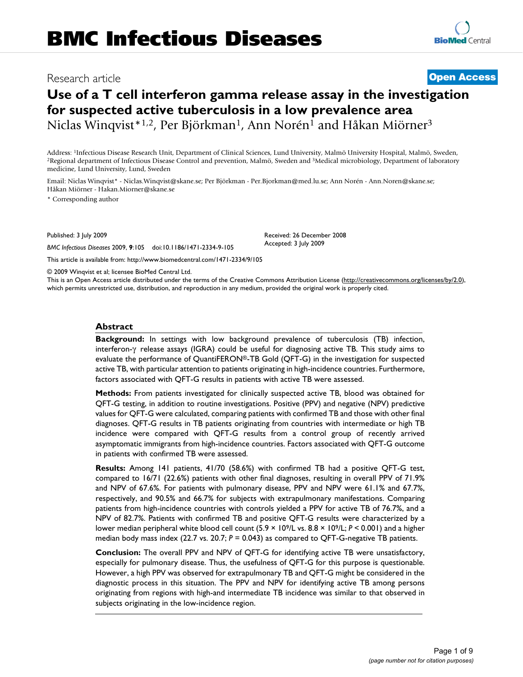## Research article **[Open Access](http://www.biomedcentral.com/info/about/charter/)**

# **Use of a T cell interferon gamma release assay in the investigation for suspected active tuberculosis in a low prevalence area** Niclas Winqvist<sup>\*1,2</sup>, Per Björkman<sup>1</sup>, Ann Norén<sup>1</sup> and Håkan Miörner<sup>3</sup>

Address: <sup>1</sup>Infectious Disease Research Unit, Department of Clinical Sciences, Lund University, Malmö University Hospital, Malmö, Sweden, <sup>2</sup>Regional department of Infectious Disease Control and prevention, Malmö, Sweden a medicine, Lund University, Lund, Sweden

Email: Niclas Winqvist\* - Niclas.Winqvist@skane.se; Per Björkman - Per.Bjorkman@med.lu.se; Ann Norén - Ann.Noren@skane.se; Håkan Miörner - Hakan.Miorner@skane.se

\* Corresponding author

Published: 3 July 2009

*BMC Infectious Diseases* 2009, **9**:105 doi:10.1186/1471-2334-9-105

[This article is available from: http://www.biomedcentral.com/1471-2334/9/105](http://www.biomedcentral.com/1471-2334/9/105)

© 2009 Winqvist et al; licensee BioMed Central Ltd.

This is an Open Access article distributed under the terms of the Creative Commons Attribution License [\(http://creativecommons.org/licenses/by/2.0\)](http://creativecommons.org/licenses/by/2.0), which permits unrestricted use, distribution, and reproduction in any medium, provided the original work is properly cited.

Received: 26 December 2008 Accepted: 3 July 2009

#### **Abstract**

**Background:** In settings with low background prevalence of tuberculosis (TB) infection, interferon- $\gamma$  release assays (IGRA) could be useful for diagnosing active TB. This study aims to evaluate the performance of QuantiFERON®-TB Gold (QFT-G) in the investigation for suspected active TB, with particular attention to patients originating in high-incidence countries. Furthermore, factors associated with QFT-G results in patients with active TB were assessed.

**Methods:** From patients investigated for clinically suspected active TB, blood was obtained for QFT-G testing, in addition to routine investigations. Positive (PPV) and negative (NPV) predictive values for QFT-G were calculated, comparing patients with confirmed TB and those with other final diagnoses. QFT-G results in TB patients originating from countries with intermediate or high TB incidence were compared with QFT-G results from a control group of recently arrived asymptomatic immigrants from high-incidence countries. Factors associated with QFT-G outcome in patients with confirmed TB were assessed.

**Results:** Among 141 patients, 41/70 (58.6%) with confirmed TB had a positive QFT-G test, compared to 16/71 (22.6%) patients with other final diagnoses, resulting in overall PPV of 71.9% and NPV of 67.6%. For patients with pulmonary disease, PPV and NPV were 61.1% and 67.7%, respectively, and 90.5% and 66.7% for subjects with extrapulmonary manifestations. Comparing patients from high-incidence countries with controls yielded a PPV for active TB of 76.7%, and a NPV of 82.7%. Patients with confirmed TB and positive QFT-G results were characterized by a lower median peripheral white blood cell count (5.9 × 109/L vs. 8.8 × 109/L; *P* < 0.001) and a higher median body mass index (22.7 vs. 20.7;  $P = 0.043$ ) as compared to QFT-G-negative TB patients.

**Conclusion:** The overall PPV and NPV of QFT-G for identifying active TB were unsatisfactory, especially for pulmonary disease. Thus, the usefulness of QFT-G for this purpose is questionable. However, a high PPV was observed for extrapulmonary TB and QFT-G might be considered in the diagnostic process in this situation. The PPV and NPV for identifying active TB among persons originating from regions with high-and intermediate TB incidence was similar to that observed in subjects originating in the low-incidence region.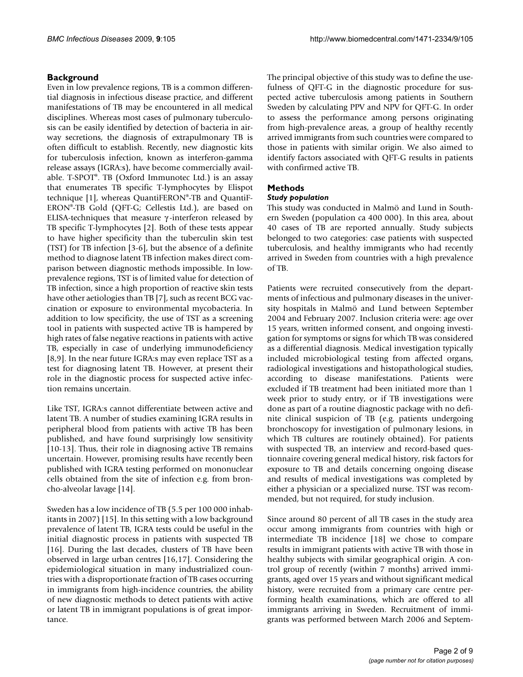### **Background**

Even in low prevalence regions, TB is a common differential diagnosis in infectious disease practice, and different manifestations of TB may be encountered in all medical disciplines. Whereas most cases of pulmonary tuberculosis can be easily identified by detection of bacteria in airway secretions, the diagnosis of extrapulmonary TB is often difficult to establish. Recently, new diagnostic kits for tuberculosis infection, known as interferon-gamma release assays (IGRA:s), have become commercially available. T-SPOT®. TB (Oxford Immunotec Ltd.) is an assay that enumerates TB specific T-lymphocytes by Elispot technique [1], whereas QuantiFERON®-TB and QuantiF-ERON®-TB Gold (QFT-G; Cellestis Ltd.), are based on ELISA-techniques that measure  $\gamma$ -interferon released by TB specific T-lymphocytes [2]. Both of these tests appear to have higher specificity than the tuberculin skin test (TST) for TB infection [3-6], but the absence of a definite method to diagnose latent TB infection makes direct comparison between diagnostic methods impossible. In lowprevalence regions, TST is of limited value for detection of TB infection, since a high proportion of reactive skin tests have other aetiologies than TB [7], such as recent BCG vaccination or exposure to environmental mycobacteria. In addition to low specificity, the use of TST as a screening tool in patients with suspected active TB is hampered by high rates of false negative reactions in patients with active TB, especially in case of underlying immunodeficiency [8,9]. In the near future IGRA:s may even replace TST as a test for diagnosing latent TB. However, at present their role in the diagnostic process for suspected active infection remains uncertain.

Like TST, IGRA:s cannot differentiate between active and latent TB. A number of studies examining IGRA results in peripheral blood from patients with active TB has been published, and have found surprisingly low sensitivity [10-13]. Thus, their role in diagnosing active TB remains uncertain. However, promising results have recently been published with IGRA testing performed on mononuclear cells obtained from the site of infection e.g. from broncho-alveolar lavage [14].

Sweden has a low incidence of TB (5.5 per 100 000 inhabitants in 2007) [15]. In this setting with a low background prevalence of latent TB, IGRA tests could be useful in the initial diagnostic process in patients with suspected TB [16]. During the last decades, clusters of TB have been observed in large urban centres [16,17]. Considering the epidemiological situation in many industrialized countries with a disproportionate fraction of TB cases occurring in immigrants from high-incidence countries, the ability of new diagnostic methods to detect patients with active or latent TB in immigrant populations is of great importance.

The principal objective of this study was to define the usefulness of QFT-G in the diagnostic procedure for suspected active tuberculosis among patients in Southern Sweden by calculating PPV and NPV for QFT-G. In order to assess the performance among persons originating from high-prevalence areas, a group of healthy recently arrived immigrants from such countries were compared to those in patients with similar origin. We also aimed to identify factors associated with QFT-G results in patients with confirmed active TB.

### **Methods**

#### *Study population*

This study was conducted in Malmö and Lund in Southern Sweden (population ca 400 000). In this area, about 40 cases of TB are reported annually. Study subjects belonged to two categories: case patients with suspected tuberculosis, and healthy immigrants who had recently arrived in Sweden from countries with a high prevalence of TB.

Patients were recruited consecutively from the departments of infectious and pulmonary diseases in the university hospitals in Malmö and Lund between September 2004 and February 2007. Inclusion criteria were: age over 15 years, written informed consent, and ongoing investigation for symptoms or signs for which TB was considered as a differential diagnosis. Medical investigation typically included microbiological testing from affected organs, radiological investigations and histopathological studies, according to disease manifestations. Patients were excluded if TB treatment had been initiated more than 1 week prior to study entry, or if TB investigations were done as part of a routine diagnostic package with no definite clinical suspicion of TB (e.g. patients undergoing bronchoscopy for investigation of pulmonary lesions, in which TB cultures are routinely obtained). For patients with suspected TB, an interview and record-based questionnaire covering general medical history, risk factors for exposure to TB and details concerning ongoing disease and results of medical investigations was completed by either a physician or a specialized nurse. TST was recommended, but not required, for study inclusion.

Since around 80 percent of all TB cases in the study area occur among immigrants from countries with high or intermediate TB incidence [18] we chose to compare results in immigrant patients with active TB with those in healthy subjects with similar geographical origin. A control group of recently (within 7 months) arrived immigrants, aged over 15 years and without significant medical history, were recruited from a primary care centre performing health examinations, which are offered to all immigrants arriving in Sweden. Recruitment of immigrants was performed between March 2006 and Septem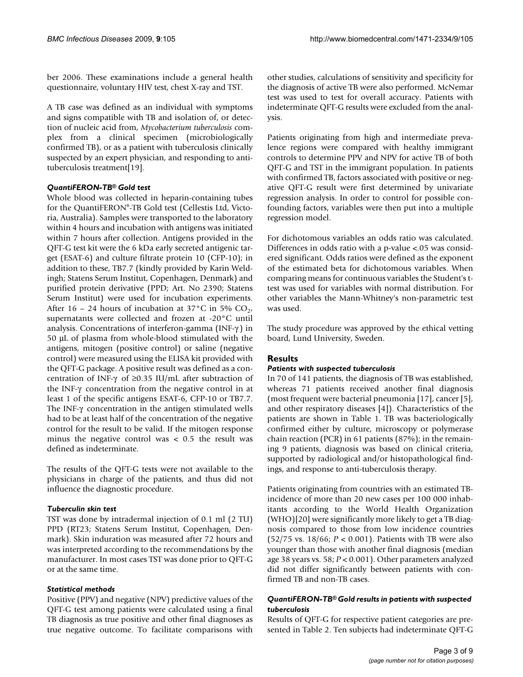ber 2006. These examinations include a general health questionnaire, voluntary HIV test, chest X-ray and TST.

A TB case was defined as an individual with symptoms and signs compatible with TB and isolation of, or detection of nucleic acid from, *Mycobacterium tuberculosis* complex from a clinical specimen (microbiologically confirmed TB), or as a patient with tuberculosis clinically suspected by an expert physician, and responding to antituberculosis treatment[19].

#### *QuantiFERON-TB® Gold test*

Whole blood was collected in heparin-containing tubes for the QuantiFERON®-TB Gold test (Cellestis Ltd, Victoria, Australia). Samples were transported to the laboratory within 4 hours and incubation with antigens was initiated within 7 hours after collection. Antigens provided in the QFT-G test kit were the 6 kDa early secreted antigenic target (ESAT-6) and culture filtrate protein 10 (CFP-10); in addition to these, TB7.7 (kindly provided by Karin Weldingh; Statens Serum Institut, Copenhagen, Denmark) and purified protein derivative (PPD; Art. No 2390; Statens Serum Institut) were used for incubation experiments. After 16 – 24 hours of incubation at 37°C in 5%  $CO<sub>2</sub>$ , supernatants were collected and frozen at -20°C until analysis. Concentrations of interferon-gamma (INF- $\gamma$ ) in 50 µL of plasma from whole-blood stimulated with the antigens, mitogen (positive control) or saline (negative control) were measured using the ELISA kit provided with the QFT-G package. A positive result was defined as a concentration of INF- $\gamma$  of  $\geq 0.35$  IU/mL after subtraction of the INF- $\gamma$  concentration from the negative control in at least 1 of the specific antigens ESAT-6, CFP-10 or TB7.7. The INF- $\gamma$  concentration in the antigen stimulated wells had to be at least half of the concentration of the negative control for the result to be valid. If the mitogen response minus the negative control was  $< 0.5$  the result was defined as indeterminate.

The results of the QFT-G tests were not available to the physicians in charge of the patients, and thus did not influence the diagnostic procedure.

#### *Tuberculin skin test*

TST was done by intradermal injection of 0.1 ml (2 TU) PPD (RT23; Statens Serum Institut, Copenhagen, Denmark). Skin induration was measured after 72 hours and was interpreted according to the recommendations by the manufacturer. In most cases TST was done prior to QFT-G or at the same time.

#### *Statistical methods*

Positive (PPV) and negative (NPV) predictive values of the QFT-G test among patients were calculated using a final TB diagnosis as true positive and other final diagnoses as true negative outcome. To facilitate comparisons with

other studies, calculations of sensitivity and specificity for the diagnosis of active TB were also performed. McNemar test was used to test for overall accuracy. Patients with indeterminate QFT-G results were excluded from the analysis.

Patients originating from high and intermediate prevalence regions were compared with healthy immigrant controls to determine PPV and NPV for active TB of both QFT-G and TST in the immigrant population. In patients with confirmed TB, factors associated with positive or negative QFT-G result were first determined by univariate regression analysis. In order to control for possible confounding factors, variables were then put into a multiple regression model.

For dichotomous variables an odds ratio was calculated. Differences in odds ratio with a p-value <.05 was considered significant. Odds ratios were defined as the exponent of the estimated beta for dichotomous variables. When comparing means for continuous variables the Student's ttest was used for variables with normal distribution. For other variables the Mann-Whitney's non-parametric test was used.

The study procedure was approved by the ethical vetting board, Lund University, Sweden.

#### **Results**

#### *Patients with suspected tuberculosis*

In 70 of 141 patients, the diagnosis of TB was established, whereas 71 patients received another final diagnosis (most frequent were bacterial pneumonia [17], cancer [5], and other respiratory diseases [4]). Characteristics of the patients are shown in Table 1. TB was bacteriologically confirmed either by culture, microscopy or polymerase chain reaction (PCR) in 61 patients (87%); in the remaining 9 patients, diagnosis was based on clinical criteria, supported by radiological and/or histopathological findings, and response to anti-tuberculosis therapy.

Patients originating from countries with an estimated TBincidence of more than 20 new cases per 100 000 inhabitants according to the World Health Organization (WHO)[20] were significantly more likely to get a TB diagnosis compared to those from low incidence countries (52/75 vs. 18/66; *P* < 0.001). Patients with TB were also younger than those with another final diagnosis (median age 38 years vs. 58; *P* < 0.001). Other parameters analyzed did not differ significantly between patients with confirmed TB and non-TB cases.

#### *QuantiFERON-TB® Gold results in patients with suspected tuberculosis*

Results of QFT-G for respective patient categories are presented in Table 2. Ten subjects had indeterminate QFT-G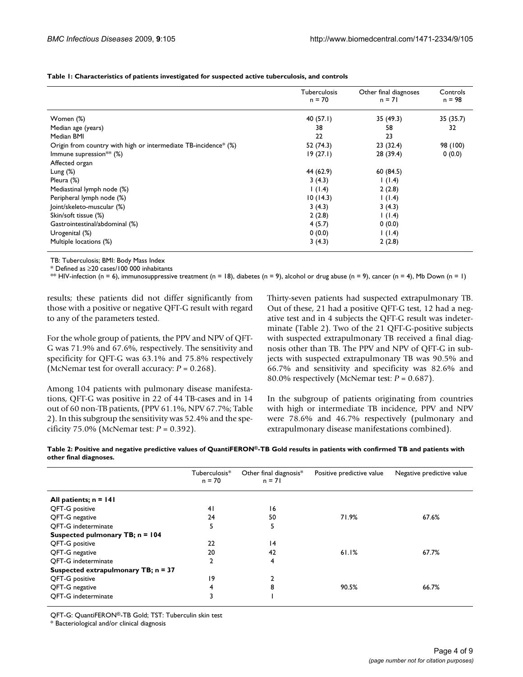| Table 1: Characteristics of patients investigated for suspected active tuberculosis, and controls |  |
|---------------------------------------------------------------------------------------------------|--|
|---------------------------------------------------------------------------------------------------|--|

|                                                                 | Tuberculosis<br>$n = 70$ | Other final diagnoses<br>$n = 71$ | Controls<br>n = 98 |
|-----------------------------------------------------------------|--------------------------|-----------------------------------|--------------------|
| Women (%)                                                       | 40(57.1)                 | 35(49.3)                          | 35 (35.7)          |
| Median age (years)                                              | 38                       | 58                                | 32                 |
| Median BMI                                                      | 22                       | 23                                |                    |
| Origin from country with high or intermediate TB-incidence* (%) | 52 (74.3)                | 23(32.4)                          | 98 (100)           |
| Immune supression <sup>**</sup> $(\%)$                          | 19(27.1)                 | 28 (39.4)                         | 0(0.0)             |
| Affected organ                                                  |                          |                                   |                    |
| Lung $(\%)$                                                     | 44 (62.9)                | 60 (84.5)                         |                    |
| Pleura (%)                                                      | 3(4.3)                   | 1(1.4)                            |                    |
| Mediastinal lymph node (%)                                      | 1(1.4)                   | 2(2.8)                            |                    |
| Peripheral lymph node (%)                                       | 10(14.3)                 | 1(1.4)                            |                    |
| Joint/skeleto-muscular (%)                                      | 3(4.3)                   | 3(4.3)                            |                    |
| Skin/soft tissue (%)                                            | 2(2.8)                   | 1(1.4)                            |                    |
| Gastrointestinal/abdominal (%)                                  | 4(5.7)                   | 0(0.0)                            |                    |
| Urogenital (%)                                                  | 0(0.0)                   | 1(1.4)                            |                    |
| Multiple locations (%)                                          | 3(4.3)                   | 2(2.8)                            |                    |

TB: Tuberculosis; BMI: Body Mass Index

 $*$  Defined as  $\geq$ 20 cases/100 000 inhabitants

\*\* HIV-infection (n = 6), immunosuppressive treatment (n = 18), diabetes (n = 9), alcohol or drug abuse (n = 9), cancer (n = 4), Mb Down (n = 1)

results; these patients did not differ significantly from those with a positive or negative QFT-G result with regard to any of the parameters tested.

For the whole group of patients, the PPV and NPV of QFT-G was 71.9% and 67.6%, respectively. The sensitivity and specificity for QFT-G was 63.1% and 75.8% respectively (McNemar test for overall accuracy:  $P = 0.268$ ).

Among 104 patients with pulmonary disease manifestations, QFT-G was positive in 22 of 44 TB-cases and in 14 out of 60 non-TB patients, (PPV 61.1%, NPV 67.7%; Table 2). In this subgroup the sensitivity was 52.4% and the specificity 75.0% (McNemar test: *P* = 0.392).

Thirty-seven patients had suspected extrapulmonary TB. Out of these, 21 had a positive QFT-G test, 12 had a negative test and in 4 subjects the QFT-G result was indeterminate (Table 2). Two of the 21 QFT-G-positive subjects with suspected extrapulmonary TB received a final diagnosis other than TB. The PPV and NPV of QFT-G in subjects with suspected extrapulmonary TB was 90.5% and 66.7% and sensitivity and specificity was 82.6% and 80.0% respectively (McNemar test: *P* = 0.687).

In the subgroup of patients originating from countries with high or intermediate TB incidence, PPV and NPV were 78.6% and 46.7% respectively (pulmonary and extrapulmonary disease manifestations combined).

| Table 2: Positive and negative predictive values of QuantiFERON®-TB Gold results in patients with confirmed TB and patients with |  |
|----------------------------------------------------------------------------------------------------------------------------------|--|
| other final diagnoses.                                                                                                           |  |

|                                      | Tuberculosis*<br>$n = 70$ | Other final diagnosis*<br>$n = 71$ | Positive predictive value | Negative predictive value |
|--------------------------------------|---------------------------|------------------------------------|---------------------------|---------------------------|
| All patients; $n = 141$              |                           |                                    |                           |                           |
| QFT-G positive                       | 41                        | 16                                 |                           |                           |
| QFT-G negative                       | 24                        | 50                                 | 71.9%                     | 67.6%                     |
| <b>OFT-G</b> indeterminate           | 5                         | 5                                  |                           |                           |
| Suspected pulmonary $TB$ ; $n = 104$ |                           |                                    |                           |                           |
| QFT-G positive                       | 22                        | 4                                  |                           |                           |
| QFT-G negative                       | 20                        | 42                                 | 61.1%                     | 67.7%                     |
| <b>OFT-G</b> indeterminate           | $\overline{2}$            | 4                                  |                           |                           |
| Suspected extrapulmonary TB; n = 37  |                           |                                    |                           |                           |
| QFT-G positive                       | 19                        |                                    |                           |                           |
| QFT-G negative                       | 4                         | 8                                  | 90.5%                     | 66.7%                     |
| <b>OFT-G</b> indeterminate           | 3                         |                                    |                           |                           |

QFT-G: QuantiFERON®-TB Gold; TST: Tuberculin skin test

\* Bacteriological and/or clinical diagnosis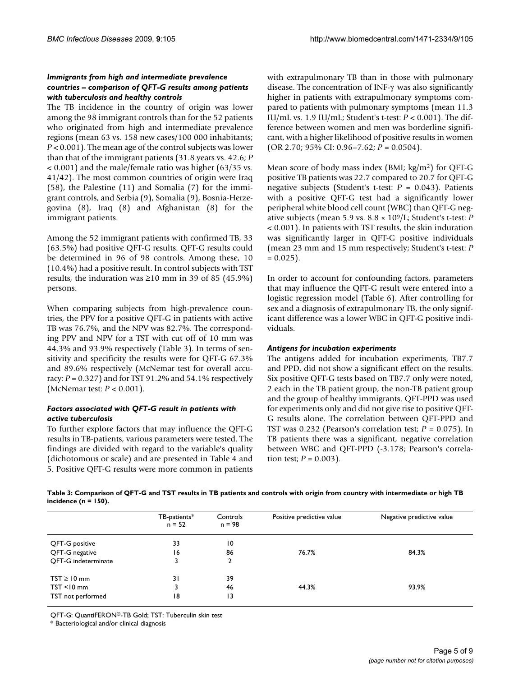#### *Immigrants from high and intermediate prevalence countries – comparison of QFT-G results among patients with tuberculosis and healthy controls*

The TB incidence in the country of origin was lower among the 98 immigrant controls than for the 52 patients who originated from high and intermediate prevalence regions (mean 63 vs. 158 new cases/100 000 inhabitants; *P* < 0.001). The mean age of the control subjects was lower than that of the immigrant patients (31.8 years vs. 42.6; *P* < 0.001) and the male/female ratio was higher (63/35 vs. 41/42). The most common countries of origin were Iraq (58), the Palestine (11) and Somalia (7) for the immigrant controls, and Serbia (9), Somalia (9), Bosnia-Herzegovina (8), Iraq (8) and Afghanistan (8) for the immigrant patients.

Among the 52 immigrant patients with confirmed TB, 33 (63.5%) had positive QFT-G results. QFT-G results could be determined in 96 of 98 controls. Among these, 10 (10.4%) had a positive result. In control subjects with TST results, the induration was  $\geq 10$  mm in 39 of 85 (45.9%) persons.

When comparing subjects from high-prevalence countries, the PPV for a positive QFT-G in patients with active TB was 76.7%, and the NPV was 82.7%. The corresponding PPV and NPV for a TST with cut off of 10 mm was 44.3% and 93.9% respectively (Table 3). In terms of sensitivity and specificity the results were for QFT-G 67.3% and 89.6% respectively (McNemar test for overall accuracy: *P* = 0.327) and for TST 91.2% and 54.1% respectively (McNemar test: *P* < 0.001).

#### *Factors associated with QFT-G result in patients with active tuberculosis*

To further explore factors that may influence the QFT-G results in TB-patients, various parameters were tested. The findings are divided with regard to the variable's quality (dichotomous or scale) and are presented in Table 4 and 5. Positive QFT-G results were more common in patients with extrapulmonary TB than in those with pulmonary disease. The concentration of INF- $\gamma$  was also significantly higher in patients with extrapulmonary symptoms compared to patients with pulmonary symptoms (mean 11.3 IU/mL vs. 1.9 IU/mL; Student's t-test: *P* < 0.001). The difference between women and men was borderline significant, with a higher likelihood of positive results in women (OR 2.70; 95% CI: 0.96–7.62; *P* = 0.0504).

Mean score of body mass index (BMI; kg/m2) for QFT-G positive TB patients was 22.7 compared to 20.7 for QFT-G negative subjects (Student's t-test: *P* = 0.043). Patients with a positive QFT-G test had a significantly lower peripheral white blood cell count (WBC) than QFT-G negative subjects (mean 5.9 vs. 8.8 × 109/L; Student's t-test: *P* < 0.001). In patients with TST results, the skin induration was significantly larger in QFT-G positive individuals (mean 23 mm and 15 mm respectively; Student's t-test: *P*  $= 0.025$ ).

In order to account for confounding factors, parameters that may influence the QFT-G result were entered into a logistic regression model (Table 6). After controlling for sex and a diagnosis of extrapulmonary TB, the only significant difference was a lower WBC in QFT-G positive individuals.

#### *Antigens for incubation experiments*

The antigens added for incubation experiments, TB7.7 and PPD, did not show a significant effect on the results. Six positive QFT-G tests based on TB7.7 only were noted, 2 each in the TB patient group, the non-TB patient group and the group of healthy immigrants. QFT-PPD was used for experiments only and did not give rise to positive QFT-G results alone. The correlation between QFT-PPD and TST was 0.232 (Pearson's correlation test; *P* = 0.075). In TB patients there was a significant, negative correlation between WBC and QFT-PPD (-3.178; Pearson's correlation test;  $P = 0.003$ ).

**Table 3: Comparison of QFT-G and TST results in TB patients and controls with origin from country with intermediate or high TB incidence (n = 150).**

|                            | TB-patients*<br>$n = 52$ | Controls<br>$n = 98$ | Positive predictive value | Negative predictive value |
|----------------------------|--------------------------|----------------------|---------------------------|---------------------------|
| QFT-G positive             | 33                       | 10                   |                           |                           |
| QFT-G negative             | 16                       | 86                   | 76.7%                     | 84.3%                     |
| <b>OFT-G</b> indeterminate | 3                        | $\mathbf{2}$         |                           |                           |
| $TST \geq 10$ mm           | 31                       | 39                   |                           |                           |
| $TST < 10$ mm              | 3                        | 46                   | 44.3%                     | 93.9%                     |
| TST not performed          | 18                       | 13                   |                           |                           |

QFT-G: QuantiFERON®-TB Gold; TST: Tuberculin skin test

\* Bacteriological and/or clinical diagnosis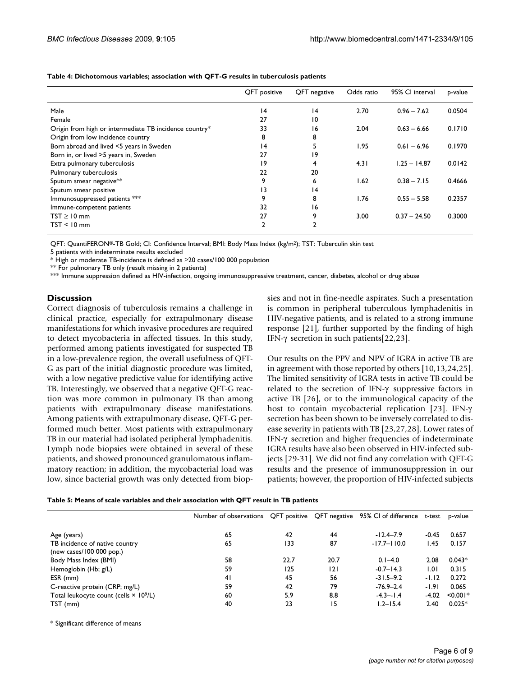|                                                        | QFT positive | QFT negative | Odds ratio | 95% CI interval | p-value |
|--------------------------------------------------------|--------------|--------------|------------|-----------------|---------|
| Male                                                   | 14           | 4            | 2.70       | $0.96 - 7.62$   | 0.0504  |
| Female                                                 | 27           | 10           |            |                 |         |
| Origin from high or intermediate TB incidence country* | 33           | 16           | 2.04       | $0.63 - 6.66$   | 0.1710  |
| Origin from low incidence country                      | 8            | 8            |            |                 |         |
| Born abroad and lived <5 years in Sweden               | 4            | 5            | 1.95       | $0.61 - 6.96$   | 0.1970  |
| Born in, or lived >5 years in, Sweden                  | 27           | 19           |            |                 |         |
| Extra pulmonary tuberculosis                           | 19           | 4            | 4.31       | $1.25 - 14.87$  | 0.0142  |
| Pulmonary tuberculosis                                 | 22           | 20           |            |                 |         |
| Sputum smear negative**                                | 9            | 6            | 1.62       | $0.38 - 7.15$   | 0.4666  |
| Sputum smear positive                                  | 13           | 4            |            |                 |         |
| Immunosuppressed patients ***                          | 9            | 8            | I.76       | $0.55 - 5.58$   | 0.2357  |
| Immune-competent patients                              | 32           | 16           |            |                 |         |
| $TST \geq 10$ mm                                       | 27           | 9            | 3.00       | $0.37 - 24.50$  | 0.3000  |
| $TST < 10$ mm                                          | 2            |              |            |                 |         |

**Table 4: Dichotomous variables; association with QFT-G results in tuberculosis patients**

QFT: QuantiFERON®-TB Gold; CI: Confidence Interval; BMI: Body Mass Index (kg/m<sup>2</sup>); TST: Tuberculin skin test

5 patients with indeterminate results excluded

 $*$  High or moderate TB-incidence is defined as  $\geq$ 20 cases/100 000 population

\*\* For pulmonary TB only (result missing in 2 patients)

\*\*\* Immune suppression defined as HIV-infection, ongoing immunosuppressive treatment, cancer, diabetes, alcohol or drug abuse

#### **Discussion**

Correct diagnosis of tuberculosis remains a challenge in clinical practice, especially for extrapulmonary disease manifestations for which invasive procedures are required to detect mycobacteria in affected tissues. In this study, performed among patients investigated for suspected TB in a low-prevalence region, the overall usefulness of QFT-G as part of the initial diagnostic procedure was limited, with a low negative predictive value for identifying active TB. Interestingly, we observed that a negative QFT-G reaction was more common in pulmonary TB than among patients with extrapulmonary disease manifestations. Among patients with extrapulmonary disease, QFT-G performed much better. Most patients with extrapulmonary TB in our material had isolated peripheral lymphadenitis. Lymph node biopsies were obtained in several of these patients, and showed pronounced granulomatous inflammatory reaction; in addition, the mycobacterial load was low, since bacterial growth was only detected from biopsies and not in fine-needle aspirates. Such a presentation is common in peripheral tuberculous lymphadenitis in HIV-negative patients, and is related to a strong immune response [21], further supported by the finding of high IFN- $\gamma$  secretion in such patients[22,23].

Our results on the PPV and NPV of IGRA in active TB are in agreement with those reported by others [10,13,24,25]. The limited sensitivity of IGRA tests in active TB could be related to the secretion of IFN-g suppressive factors in active TB [26], or to the immunological capacity of the host to contain mycobacterial replication [23]. IFN-g secretion has been shown to be inversely correlated to disease severity in patients with TB [23,27,28]. Lower rates of IFN-g secretion and higher frequencies of indeterminate IGRA results have also been observed in HIV-infected subjects [29-31]. We did not find any correlation with QFT-G results and the presence of immunosuppression in our patients; however, the proportion of HIV-infected subjects

| Table 5: Means of scale variables and their association with QFT result in TB patients |  |  |  |  |  |  |
|----------------------------------------------------------------------------------------|--|--|--|--|--|--|
|----------------------------------------------------------------------------------------|--|--|--|--|--|--|

|                                                    | Number of observations | QFT positive |      | QFT negative 95% CI of difference t-test |         | p-value    |
|----------------------------------------------------|------------------------|--------------|------|------------------------------------------|---------|------------|
| Age (years)                                        | 65                     | 42           | 44   | $-12.4 - 7.9$                            | $-0.45$ | 0.657      |
| TB incidence of native country                     | 65                     | 133          | 87   | $-17.7-110.0$                            | l.45    | 0.157      |
| (new cases/100 000 pop.)                           |                        |              |      |                                          |         |            |
| Body Mass Index (BMI)                              | 58                     | 22.7         | 20.7 | $0.1 - 4.0$                              | 2.08    | $0.043*$   |
| Hemoglobin (Hb; g/L)                               | 59                     | 125          | 2    | $-0.7 - 14.3$                            | 1.01    | 0.315      |
| ESR (mm)                                           | 41                     | 45           | 56   | $-31.5-9.2$                              | $-1.12$ | 0.272      |
| C-reactive protein (CRP; mg/L)                     | 59                     | 42           | 79   | $-76.9 - 2.4$                            | $-1.91$ | 0.065      |
| Total leukocyte count (cells × 10 <sup>9</sup> /L) | 60                     | 5.9          | 8.8  | $-4.3 - 1.4$                             | $-4.02$ | $< 0.001*$ |
| TST (mm)                                           | 40                     | 23           | 15   | $1.2 - 15.4$                             | 2.40    | $0.025*$   |

\* Significant difference of means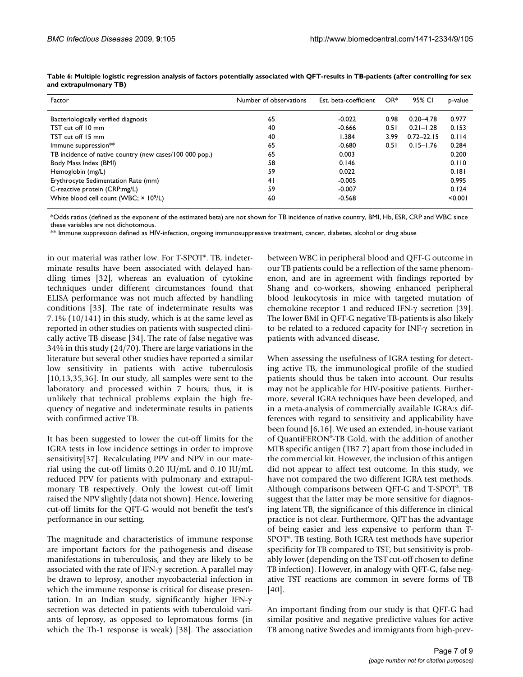| Factor                                                  | Number of observations | Est. beta-coefficient | $OR^*$ | 95% CI         | p-value |
|---------------------------------------------------------|------------------------|-----------------------|--------|----------------|---------|
| Bacteriologically verified diagnosis                    | 65                     | $-0.022$              | 0.98   | $0.20 - 4.78$  | 0.977   |
| TST cut off 10 mm                                       | 40                     | $-0.666$              | 0.51   | $0.21 - 1.28$  | 0.153   |
| TST cut off 15 mm                                       | 40                     | 1.384                 | 3.99   | $0.72 - 22.15$ | 0.114   |
| Immune suppression**                                    | 65                     | $-0.680$              | 0.51   | $0.15 - 1.76$  | 0.284   |
| TB incidence of native country (new cases/100 000 pop.) | 65                     | 0.003                 |        |                | 0.200   |
| Body Mass Index (BMI)                                   | 58                     | 0.146                 |        |                | 0.110   |
| Hemoglobin (mg/L)                                       | 59                     | 0.022                 |        |                | 0.181   |
| Erythrocyte Sedimentation Rate (mm)                     | 41                     | $-0.005$              |        |                | 0.995   |
| C-reactive protein (CRP;mg/L)                           | 59                     | $-0.007$              |        |                | 0.124   |
| White blood cell count (WBC; × 109/L)                   | 60                     | $-0.568$              |        |                | < 0.001 |

**Table 6: Multiple logistic regression analysis of factors potentially associated with QFT-results in TB-patients (after controlling for sex and extrapulmonary TB)**

\*Odds ratios (defined as the exponent of the estimated beta) are not shown for TB incidence of native country, BMI, Hb, ESR, CRP and WBC since these variables are not dichotomous.

\*\* Immune suppression defined as HIV-infection, ongoing immunosuppressive treatment, cancer, diabetes, alcohol or drug abuse

in our material was rather low. For T-SPOT®. TB, indeterminate results have been associated with delayed handling times [32], whereas an evaluation of cytokine techniques under different circumstances found that ELISA performance was not much affected by handling conditions [33]. The rate of indeterminate results was 7.1% (10/141) in this study, which is at the same level as reported in other studies on patients with suspected clinically active TB disease [34]. The rate of false negative was 34% in this study (24/70). There are large variations in the literature but several other studies have reported a similar low sensitivity in patients with active tuberculosis [10,13,35,36]. In our study, all samples were sent to the laboratory and processed within 7 hours; thus, it is unlikely that technical problems explain the high frequency of negative and indeterminate results in patients with confirmed active TB.

It has been suggested to lower the cut-off limits for the IGRA tests in low incidence settings in order to improve sensitivity[37]. Recalculating PPV and NPV in our material using the cut-off limits 0.20 IU/mL and 0.10 IU/mL reduced PPV for patients with pulmonary and extrapulmonary TB respectively. Only the lowest cut-off limit raised the NPV slightly (data not shown). Hence, lowering cut-off limits for the QFT-G would not benefit the test's performance in our setting.

The magnitude and characteristics of immune response are important factors for the pathogenesis and disease manifestations in tuberculosis, and they are likely to be associated with the rate of IFN-g secretion. A parallel may be drawn to leprosy, another mycobacterial infection in which the immune response is critical for disease presentation. In an Indian study, significantly higher IFN-g secretion was detected in patients with tuberculoid variants of leprosy, as opposed to lepromatous forms (in which the Th-1 response is weak) [38]. The association

between WBC in peripheral blood and QFT-G outcome in our TB patients could be a reflection of the same phenomenon, and are in agreement with findings reported by Shang and co-workers, showing enhanced peripheral blood leukocytosis in mice with targeted mutation of chemokine receptor 1 and reduced IFN-g secretion [39]. The lower BMI in QFT-G negative TB-patients is also likely to be related to a reduced capacity for INF-g secretion in patients with advanced disease.

When assessing the usefulness of IGRA testing for detecting active TB, the immunological profile of the studied patients should thus be taken into account. Our results may not be applicable for HIV-positive patients. Furthermore, several IGRA techniques have been developed, and in a meta-analysis of commercially available IGRA:s differences with regard to sensitivity and applicability have been found [6,16]. We used an extended, in-house variant of QuantiFERON®-TB Gold, with the addition of another MTB specific antigen (TB7.7) apart from those included in the commercial kit. However, the inclusion of this antigen did not appear to affect test outcome. In this study, we have not compared the two different IGRA test methods. Although comparisons between QFT-G and T-SPOT®. TB suggest that the latter may be more sensitive for diagnosing latent TB, the significance of this difference in clinical practice is not clear. Furthermore, QFT has the advantage of being easier and less expensive to perform than T-SPOT®. TB testing. Both IGRA test methods have superior specificity for TB compared to TST, but sensitivity is probably lower (depending on the TST cut-off chosen to define TB infection). However, in analogy with QFT-G, false negative TST reactions are common in severe forms of TB [40].

An important finding from our study is that QFT-G had similar positive and negative predictive values for active TB among native Swedes and immigrants from high-prev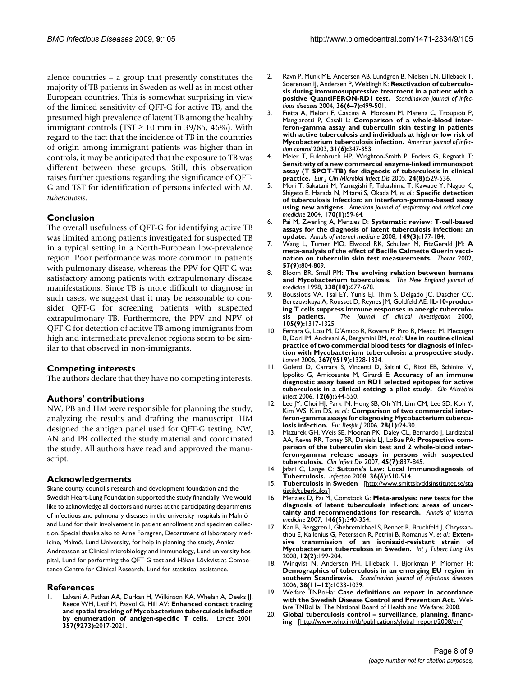alence countries – a group that presently constitutes the majority of TB patients in Sweden as well as in most other European countries. This is somewhat surprising in view of the limited sensitivity of QFT-G for active TB, and the presumed high prevalence of latent TB among the healthy immigrant controls (TST  $\geq$  10 mm in 39/85, 46%). With regard to the fact that the incidence of TB in the countries of origin among immigrant patients was higher than in controls, it may be anticipated that the exposure to TB was different between these groups. Still, this observation raises further questions regarding the significance of QFT-G and TST for identification of persons infected with *M. tuberculosis*.

#### **Conclusion**

The overall usefulness of QFT-G for identifying active TB was limited among patients investigated for suspected TB in a typical setting in a North-European low-prevalence region. Poor performance was more common in patients with pulmonary disease, whereas the PPV for QFT-G was satisfactory among patients with extrapulmonary disease manifestations. Since TB is more difficult to diagnose in such cases, we suggest that it may be reasonable to consider QFT-G for screening patients with suspected extrapulmonary TB. Furthermore, the PPV and NPV of QFT-G for detection of actitve TB among immigrants from high and intermediate prevalence regions seem to be similar to that observed in non-immigrants.

#### **Competing interests**

The authors declare that they have no competing interests.

#### **Authors' contributions**

NW, PB and HM were responsible for planning the study, analyzing the results and drafting the manuscript. HM designed the antigen panel used for QFT-G testing. NW, AN and PB collected the study material and coordinated the study. All authors have read and approved the manuscript.

#### **Acknowledgements**

Skane county council's research and development foundation and the Swedish Heart-Lung Foundation supported the study financially. We would like to acknowledge all doctors and nurses at the participating departments of infectious and pulmonary diseases in the university hospitals in Malmö and Lund for their involvement in patient enrollment and specimen collection. Special thanks also to Arne Forsgren, Department of laboratory medicine, Malmö, Lund University, for help in planning the study, Annica Andreasson at Clinical microbiology and immunology, Lund university hospital, Lund for performing the QFT-G test and Håkan Lövkvist at Competence Centre for Clinical Research, Lund for statistical assistance.

#### **References**

Lalvani A, Pathan AA, Durkan H, Wilkinson KA, Whelan A, Deeks JJ, Reece WH, Latif M, Pasvol G, Hill AV: **[Enhanced contact tracing](http://www.ncbi.nlm.nih.gov/entrez/query.fcgi?cmd=Retrieve&db=PubMed&dopt=Abstract&list_uids=11438135) [and spatial tracking of Mycobacterium tuberculosis infection](http://www.ncbi.nlm.nih.gov/entrez/query.fcgi?cmd=Retrieve&db=PubMed&dopt=Abstract&list_uids=11438135) [by enumeration of antigen-specific T cells.](http://www.ncbi.nlm.nih.gov/entrez/query.fcgi?cmd=Retrieve&db=PubMed&dopt=Abstract&list_uids=11438135)** *Lancet* 2001, **357(9273):**2017-2021.

- 2. Ravn P, Munk ME, Andersen AB, Lundgren B, Nielsen LN, Lillebaek T, Soerensen IJ, Andersen P, Weldingh K: **[Reactivation of tuberculo](http://www.ncbi.nlm.nih.gov/entrez/query.fcgi?cmd=Retrieve&db=PubMed&dopt=Abstract&list_uids=15307581)[sis during immunosuppressive treatment in a patient with a](http://www.ncbi.nlm.nih.gov/entrez/query.fcgi?cmd=Retrieve&db=PubMed&dopt=Abstract&list_uids=15307581) [positive QuantiFERON-RD1 test.](http://www.ncbi.nlm.nih.gov/entrez/query.fcgi?cmd=Retrieve&db=PubMed&dopt=Abstract&list_uids=15307581)** *Scandinavian journal of infectious diseases* 2004, **36(6–7):**499-501.
- 3. Fietta A, Meloni F, Cascina A, Morosini M, Marena C, Troupioti P, Mangiarotti P, Casali L: **[Comparison of a whole-blood inter](http://www.ncbi.nlm.nih.gov/entrez/query.fcgi?cmd=Retrieve&db=PubMed&dopt=Abstract&list_uids=14608301)[feron-gamma assay and tuberculin skin testing in patients](http://www.ncbi.nlm.nih.gov/entrez/query.fcgi?cmd=Retrieve&db=PubMed&dopt=Abstract&list_uids=14608301) with active tuberculosis and individuals at high or low risk of [Mycobacterium tuberculosis infection.](http://www.ncbi.nlm.nih.gov/entrez/query.fcgi?cmd=Retrieve&db=PubMed&dopt=Abstract&list_uids=14608301)** *American journal of infection control* 2003, **31(6):**347-353.
- Meier T, Eulenbruch HP, Wrighton-Smith P, Enders G, Regnath T: **[Sensitivity of a new commercial enzyme-linked immunospot](http://www.ncbi.nlm.nih.gov/entrez/query.fcgi?cmd=Retrieve&db=PubMed&dopt=Abstract&list_uids=16133410) assay (T SPOT-TB) for diagnosis of tuberculosis in clinical [practice.](http://www.ncbi.nlm.nih.gov/entrez/query.fcgi?cmd=Retrieve&db=PubMed&dopt=Abstract&list_uids=16133410)** *Eur J Clin Microbiol Infect Dis* 2005, **24(8):**529-536.
- 5. Mori T, Sakatani M, Yamagishi F, Takashima T, Kawabe Y, Nagao K, Shigeto E, Harada N, Mitarai S, Okada M, *et al.*: **Specific detection of tuberculosis infection: an interferon-gamma-based assay using new antigens.** *American journal of respiratory and critical care medicine* 2004, **170(1):**59-64.
- 6. Pai M, Zwerling A, Menzies D: **[Systematic review: T-cell-based](http://www.ncbi.nlm.nih.gov/entrez/query.fcgi?cmd=Retrieve&db=PubMed&dopt=Abstract&list_uids=18593687) [assays for the diagnosis of latent tuberculosis infection: an](http://www.ncbi.nlm.nih.gov/entrez/query.fcgi?cmd=Retrieve&db=PubMed&dopt=Abstract&list_uids=18593687) [update.](http://www.ncbi.nlm.nih.gov/entrez/query.fcgi?cmd=Retrieve&db=PubMed&dopt=Abstract&list_uids=18593687)** *Annals of internal medicine* 2008, **149(3):**177-184.
- 7. Wang L, Turner MO, Elwood RK, Schulzer M, FitzGerald JM: **[A](http://www.ncbi.nlm.nih.gov/entrez/query.fcgi?cmd=Retrieve&db=PubMed&dopt=Abstract&list_uids=12200526) [meta-analysis of the effect of Bacille Calmette Guerin vacci](http://www.ncbi.nlm.nih.gov/entrez/query.fcgi?cmd=Retrieve&db=PubMed&dopt=Abstract&list_uids=12200526)[nation on tuberculin skin test measurements.](http://www.ncbi.nlm.nih.gov/entrez/query.fcgi?cmd=Retrieve&db=PubMed&dopt=Abstract&list_uids=12200526)** *Thorax* 2002, **57(9):**804-809.
- 8. Bloom BR, Small PM: **[The evolving relation between humans](http://www.ncbi.nlm.nih.gov/entrez/query.fcgi?cmd=Retrieve&db=PubMed&dopt=Abstract&list_uids=9486998) [and Mycobacterium tuberculosis.](http://www.ncbi.nlm.nih.gov/entrez/query.fcgi?cmd=Retrieve&db=PubMed&dopt=Abstract&list_uids=9486998)** *The New England journal of medicine* 1998, **338(10):**677-678.
- Boussiotis VA, Tsai EY, Yunis EJ, Thim S, Delgado JC, Dascher CC, Berezovskaya A, Rousset D, Reynes JM, Goldfeld AE: **[IL-10-produc](http://www.ncbi.nlm.nih.gov/entrez/query.fcgi?cmd=Retrieve&db=PubMed&dopt=Abstract&list_uids=10792007)**ing **T** cells suppress immune responses in anergic tuberculosis patients. The *Journal* of *clinical investigation* 2000, **[sis patients.](http://www.ncbi.nlm.nih.gov/entrez/query.fcgi?cmd=Retrieve&db=PubMed&dopt=Abstract&list_uids=10792007)** *The Journal of clinical investigation* 2000, **105(9):**1317-1325.
- 10. Ferrara G, Losi M, D'Amico R, Roversi P, Piro R, Meacci M, Meccugni B, Dori IM, Andreani A, Bergamini BM, *et al.*: **[Use in routine clinical](http://www.ncbi.nlm.nih.gov/entrez/query.fcgi?cmd=Retrieve&db=PubMed&dopt=Abstract&list_uids=16631911) [practice of two commercial blood tests for diagnosis of infec](http://www.ncbi.nlm.nih.gov/entrez/query.fcgi?cmd=Retrieve&db=PubMed&dopt=Abstract&list_uids=16631911)tion with Mycobacterium tuberculosis: a prospective study.** *Lancet* 2006, **367(9519):**1328-1334.
- 11. Goletti D, Carrara S, Vincenti D, Saltini C, Rizzi EB, Schinina V, Ippolito G, Amicosante M, Girardi E: **[Accuracy of an immune](http://www.ncbi.nlm.nih.gov/entrez/query.fcgi?cmd=Retrieve&db=PubMed&dopt=Abstract&list_uids=16700703) [diagnostic assay based on RD1 selected epitopes for active](http://www.ncbi.nlm.nih.gov/entrez/query.fcgi?cmd=Retrieve&db=PubMed&dopt=Abstract&list_uids=16700703) [tuberculosis in a clinical setting: a pilot study.](http://www.ncbi.nlm.nih.gov/entrez/query.fcgi?cmd=Retrieve&db=PubMed&dopt=Abstract&list_uids=16700703)** *Clin Microbiol Infect* 2006, **12(6):**544-550.
- 12. Lee JY, Choi HJ, Park IN, Hong SB, Oh YM, Lim CM, Lee SD, Koh Y, Kim WS, Kim DS, *et al.*: **[Comparison of two commercial inter](http://www.ncbi.nlm.nih.gov/entrez/query.fcgi?cmd=Retrieve&db=PubMed&dopt=Abstract&list_uids=16611658)[feron-gamma assays for diagnosing Mycobacterium tubercu](http://www.ncbi.nlm.nih.gov/entrez/query.fcgi?cmd=Retrieve&db=PubMed&dopt=Abstract&list_uids=16611658)[losis infection.](http://www.ncbi.nlm.nih.gov/entrez/query.fcgi?cmd=Retrieve&db=PubMed&dopt=Abstract&list_uids=16611658)** *Eur Respir J* 2006, **28(1):**24-30.
- 13. Mazurek GH, Weis SE, Moonan PK, Daley CL, Bernardo J, Lardizabal AA, Reves RR, Toney SR, Daniels LJ, LoBue PA: **[Prospective com](http://www.ncbi.nlm.nih.gov/entrez/query.fcgi?cmd=Retrieve&db=PubMed&dopt=Abstract&list_uids=17806047)[parison of the tuberculin skin test and 2 whole-blood inter](http://www.ncbi.nlm.nih.gov/entrez/query.fcgi?cmd=Retrieve&db=PubMed&dopt=Abstract&list_uids=17806047)feron-gamma release assays in persons with suspected [tuberculosis.](http://www.ncbi.nlm.nih.gov/entrez/query.fcgi?cmd=Retrieve&db=PubMed&dopt=Abstract&list_uids=17806047)** *Clin Infect Dis* 2007, **45(7):**837-845.
- 14. Jafari C, Lange C: **[Suttons's Law: Local Immunodiagnosis of](http://www.ncbi.nlm.nih.gov/entrez/query.fcgi?cmd=Retrieve&db=PubMed&dopt=Abstract&list_uids=18931970) [Tuberculosis.](http://www.ncbi.nlm.nih.gov/entrez/query.fcgi?cmd=Retrieve&db=PubMed&dopt=Abstract&list_uids=18931970)** *Infection* 2008, **36(6):**510-514.
- 15. **Tuberculosis in Sweden** [\[http://www.smittskyddsinstitutet.se/sta](http://www.smittskyddsinstitutet.se/statistik/tuberkulos) [tistik/tuberkulos\]](http://www.smittskyddsinstitutet.se/statistik/tuberkulos)
- 16. Menzies D, Pai M, Comstock G: **[Meta-analysis: new tests for the](http://www.ncbi.nlm.nih.gov/entrez/query.fcgi?cmd=Retrieve&db=PubMed&dopt=Abstract&list_uids=17339619) [diagnosis of latent tuberculosis infection: areas of uncer](http://www.ncbi.nlm.nih.gov/entrez/query.fcgi?cmd=Retrieve&db=PubMed&dopt=Abstract&list_uids=17339619)[tainty and recommendations for research.](http://www.ncbi.nlm.nih.gov/entrez/query.fcgi?cmd=Retrieve&db=PubMed&dopt=Abstract&list_uids=17339619)** *Annals of internal medicine* 2007, **146(5):**340-354.
- Kan B, Berggren I, Ghebremichael S, Bennet R, Bruchfeld J, Chryssanthou E, Kallenius G, Petersson R, Petrini B, Romanus V, *et al.*: **[Exten](http://www.ncbi.nlm.nih.gov/entrez/query.fcgi?cmd=Retrieve&db=PubMed&dopt=Abstract&list_uids=18230254)[sive transmission of an isoniazid-resistant strain of](http://www.ncbi.nlm.nih.gov/entrez/query.fcgi?cmd=Retrieve&db=PubMed&dopt=Abstract&list_uids=18230254) [Mycobacterium tuberculosis in Sweden.](http://www.ncbi.nlm.nih.gov/entrez/query.fcgi?cmd=Retrieve&db=PubMed&dopt=Abstract&list_uids=18230254)** *Int J Tuberc Lung Dis* 2008, **12(2):**199-204.
- 18. Winqvist N, Andersen PH, Lillebaek T, Bjorkman P, Miorner H: **[Demographics of tuberculosis in an emerging EU region in](http://www.ncbi.nlm.nih.gov/entrez/query.fcgi?cmd=Retrieve&db=PubMed&dopt=Abstract&list_uids=17148073) [southern Scandinavia.](http://www.ncbi.nlm.nih.gov/entrez/query.fcgi?cmd=Retrieve&db=PubMed&dopt=Abstract&list_uids=17148073)** *Scandinavian journal of infectious diseases* 2006, **38(11–12):**1033-1039.
- 19. Welfare TNBoHa: **Case definitions on report in accordance with the Swedish Disease Control and Prevention Act.** Welfare TNBoHa: The National Board of Health and Welfare; 2008.
- 20. **Global tuberculosis control surveillance, planning, financing** [[http://www.who.int/tb/publications/global\\_report/2008/en/\]](http://www.who.int/tb/publications/global_report/2008/en/)